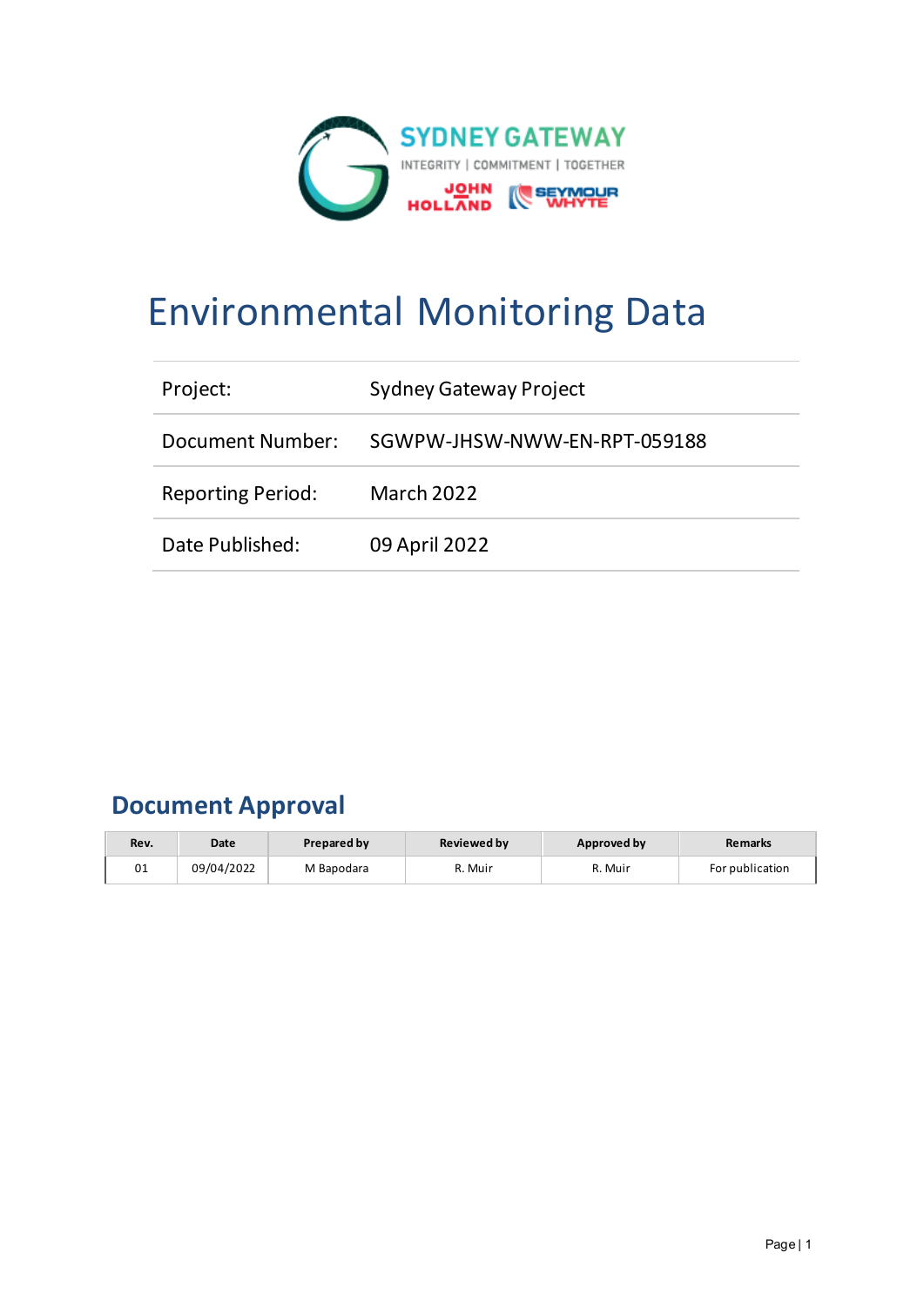

# Environmental Monitoring Data

| Project:                 | <b>Sydney Gateway Project</b> |
|--------------------------|-------------------------------|
| Document Number:         | SGWPW-JHSW-NWW-EN-RPT-059188  |
| <b>Reporting Period:</b> | <b>March 2022</b>             |
| Date Published:          | 09 April 2022                 |

## **Document Approval**

| Rev. | Date       | <b>Prepared by</b> | <b>Reviewed by</b> | Approved by | <b>Remarks</b>  |
|------|------------|--------------------|--------------------|-------------|-----------------|
| 01   | 09/04/2022 | M Bapodara         | ለ. Muir            | R. Muir     | For publication |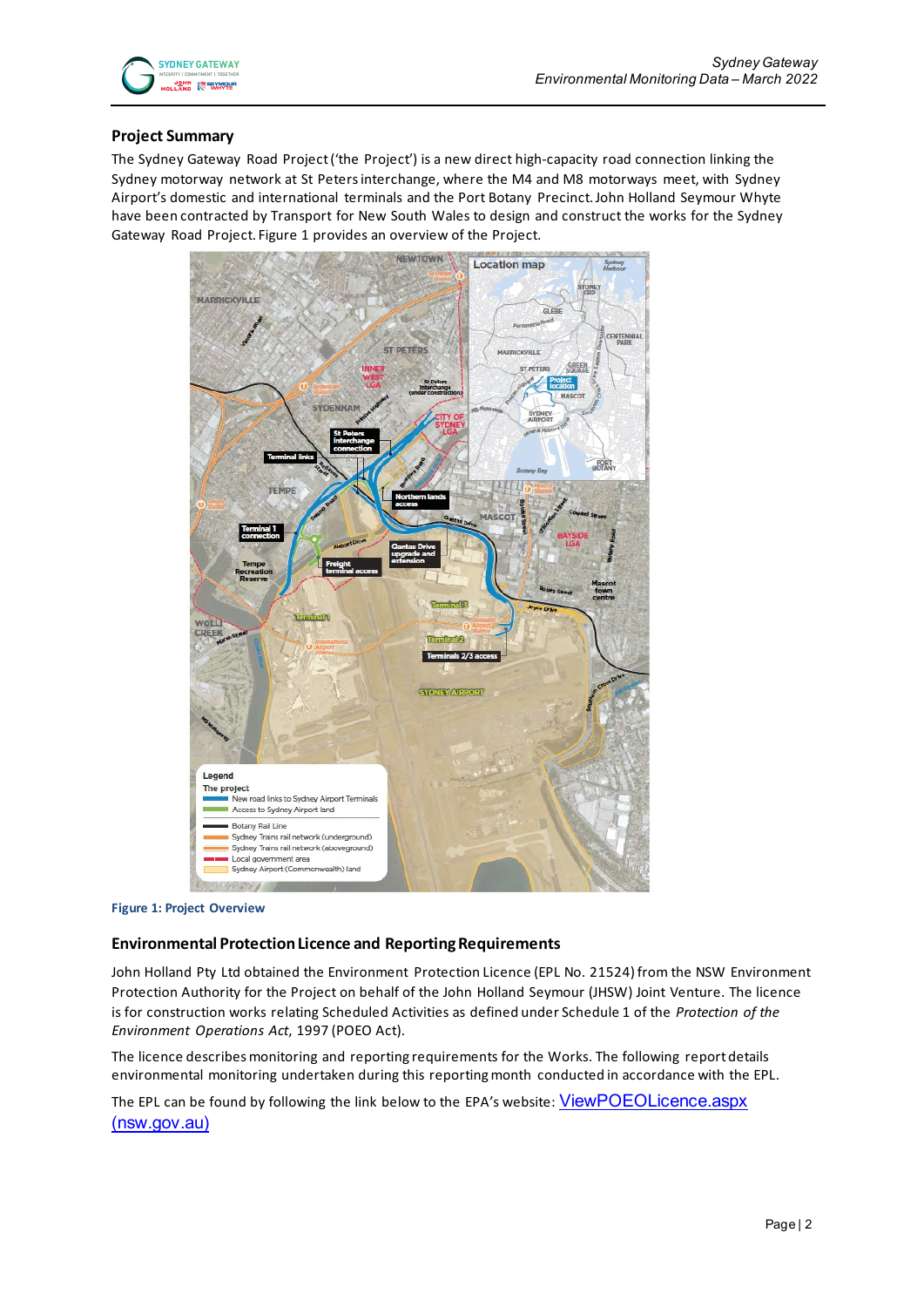

#### **Project Summary**

The Sydney Gateway Road Project ('the Project') is a new direct high-capacity road connection linking the Sydney motorway network at St Peters interchange, where the M4 and M8 motorways meet, with Sydney Airport's domestic and international terminals and the Port Botany Precinct. John Holland Seymour Whyte have been contracted by Transport for New South Wales to design and construct the works for the Sydney Gateway Road Project. Figure 1 provides an overview of the Project.



**Figure 1: Project Overview**

#### **Environmental Protection Licence and Reporting Requirements**

John Holland Pty Ltd obtained the Environment Protection Licence (EPL No. 21524) from the NSW Environment Protection Authority for the Project on behalf of the John Holland Seymour (JHSW) Joint Venture. The licence is for construction works relating Scheduled Activities as defined under Schedule 1 of the *Protection of the Environment Operations Act*, 1997 (POEO Act).

The licence describes monitoring and reporting requirements for the Works. The following report details environmental monitoring undertaken during this reporting month conducted in accordance with the EPL.

The EPL can be found by following the link below to the EPA's website: ViewPOEOLicence.aspx [\(nsw.gov.au\)](https://app.epa.nsw.gov.au/prpoeoapp/ViewPOEOLicence.aspx?DOCID=232143&SYSUID=1&LICID=21524)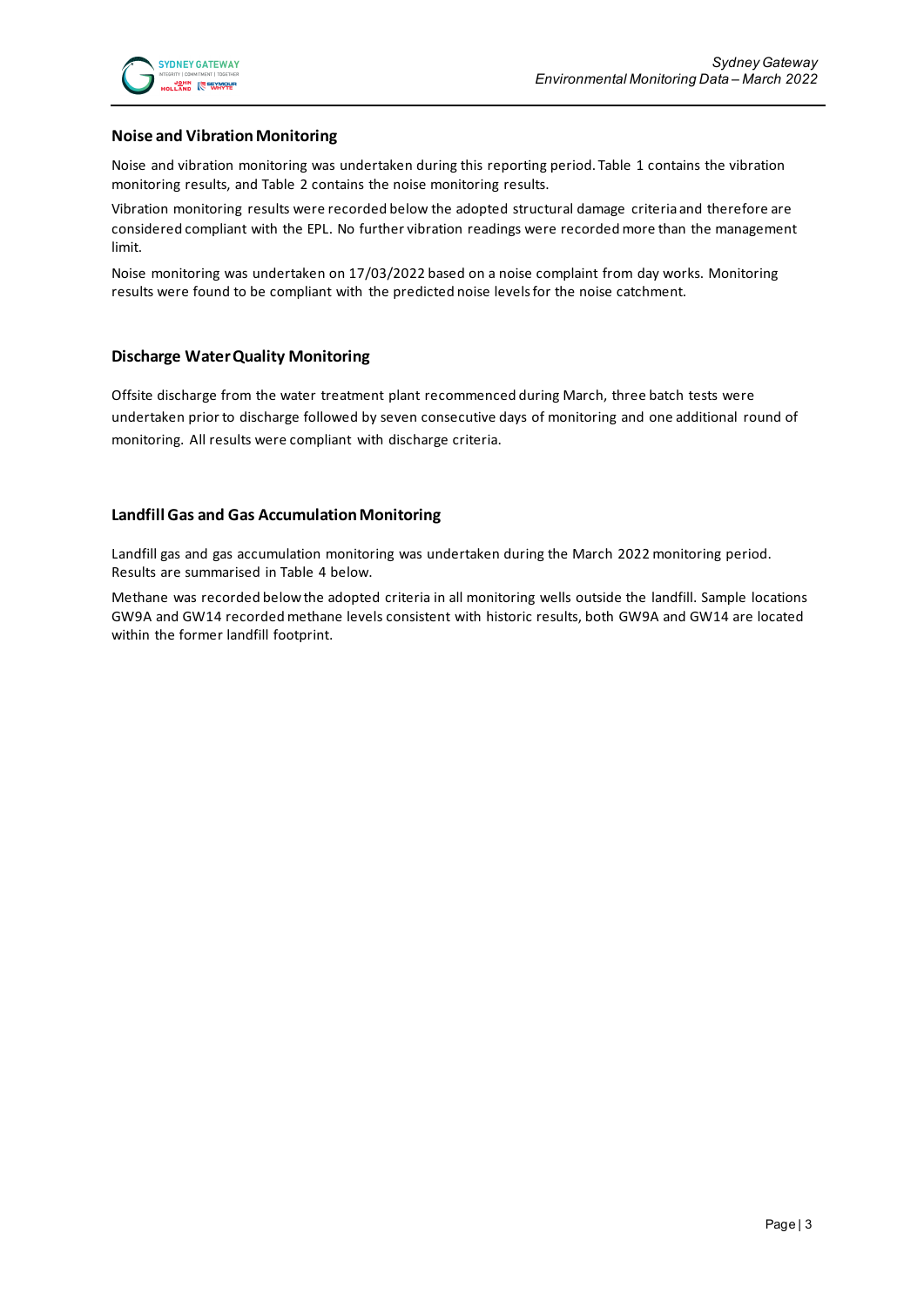#### **Noise and Vibration Monitoring**

Noise and vibration monitoring was undertaken during this reporting period. Table 1 contains the vibration monitoring results, and Table 2 contains the noise monitoring results.

Vibration monitoring results were recorded below the adopted structural damage criteria and therefore are considered compliant with the EPL. No further vibration readings were recorded more than the management limit.

Noise monitoring was undertaken on 17/03/2022 based on a noise complaint from day works. Monitoring results were found to be compliant with the predicted noise levels for the noise catchment.

#### **Discharge Water Quality Monitoring**

Offsite discharge from the water treatment plant recommenced during March, three batch tests were undertaken prior to discharge followed by seven consecutive days of monitoring and one additional round of monitoring. All results were compliant with discharge criteria.

#### **Landfill Gas and Gas Accumulation Monitoring**

Landfill gas and gas accumulation monitoring was undertaken during the March 2022 monitoring period. Results are summarised in Table 4 below.

Methane was recorded below the adopted criteria in all monitoring wells outside the landfill. Sample locations GW9A and GW14 recorded methane levels consistent with historic results, both GW9A and GW14 are located within the former landfill footprint.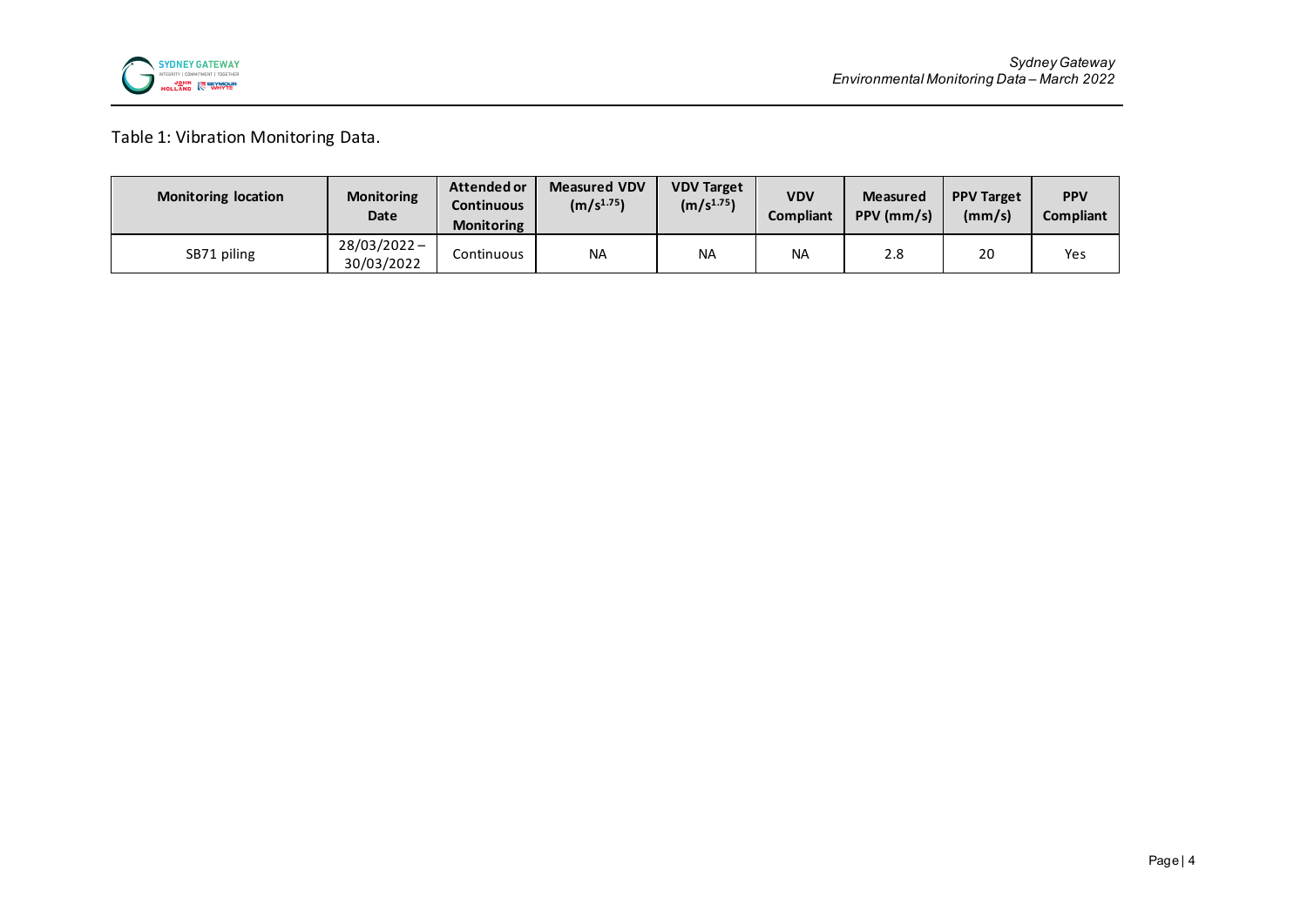

Table 1: Vibration Monitoring Data.

| <b>Monitoring location</b> | <b>Monitoring</b><br>Date    | Attended or<br>Continuous<br><b>Monitoring</b> | <b>Measured VDV</b><br>(m/s <sup>1.75</sup> ) | <b>VDV Target</b><br>(m/s <sup>1.75</sup> ) | <b>VDV</b><br><b>Compliant</b> | <b>Measured</b><br>PPV (mm/s) | <b>PPV Target</b><br>(mm/s) | <b>PPV</b><br>Compliant |
|----------------------------|------------------------------|------------------------------------------------|-----------------------------------------------|---------------------------------------------|--------------------------------|-------------------------------|-----------------------------|-------------------------|
| SB71 piling                | $28/03/2022 -$<br>30/03/2022 | Continuous                                     | <b>NA</b>                                     | <b>NA</b>                                   | <b>NA</b>                      | 2.8                           | 20                          | Yes                     |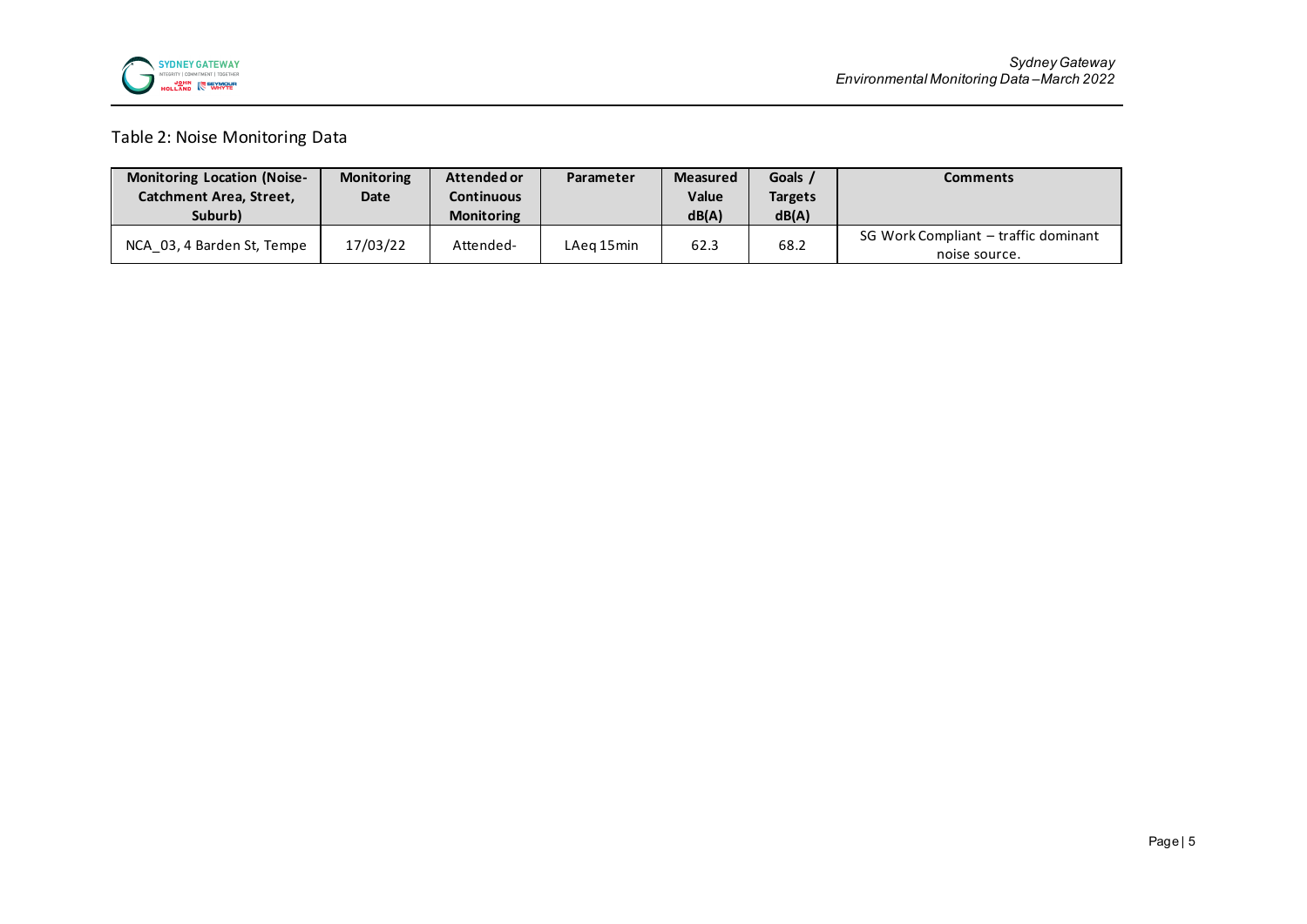

### Table 2: Noise Monitoring Data

| <b>Monitoring Location (Noise-</b> | <b>Monitoring</b> | Attended or       | Parameter  | <b>Measured</b> | Goals /        | Comments                             |
|------------------------------------|-------------------|-------------------|------------|-----------------|----------------|--------------------------------------|
| Catchment Area, Street,            | Date              | Continuous        |            | Value           | <b>Targets</b> |                                      |
| Suburb)                            |                   | <b>Monitoring</b> |            | dB(A)           | dB(A)          |                                      |
| NCA 03, 4 Barden St, Tempe         | 17/03/22          | Attended-         | LAeg 15min | 62.3            | 68.2           | SG Work Compliant - traffic dominant |
|                                    |                   |                   |            |                 |                | noise source.                        |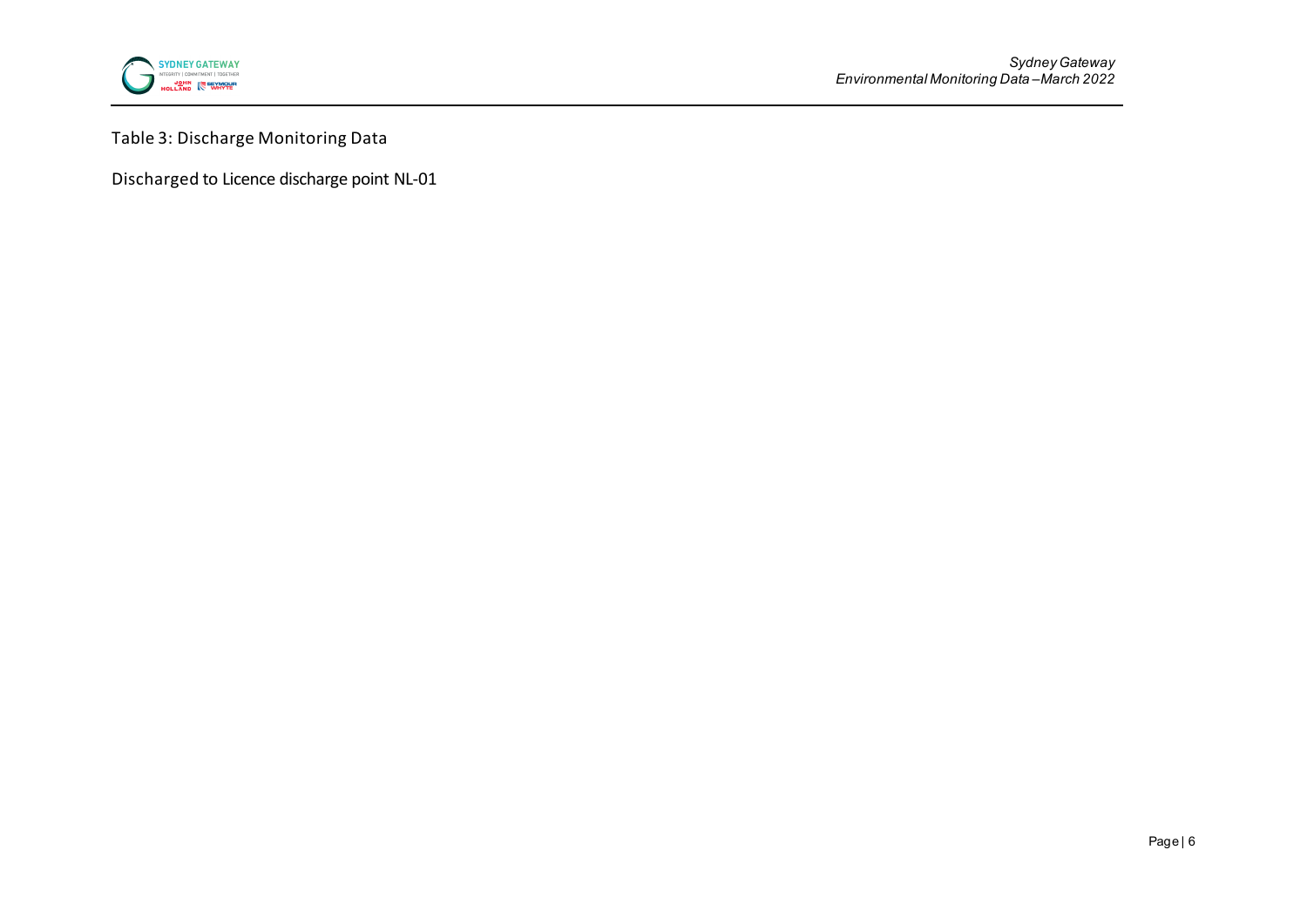

Table 3: Discharge Monitoring Data

Discharged to Licence discharge point NL-01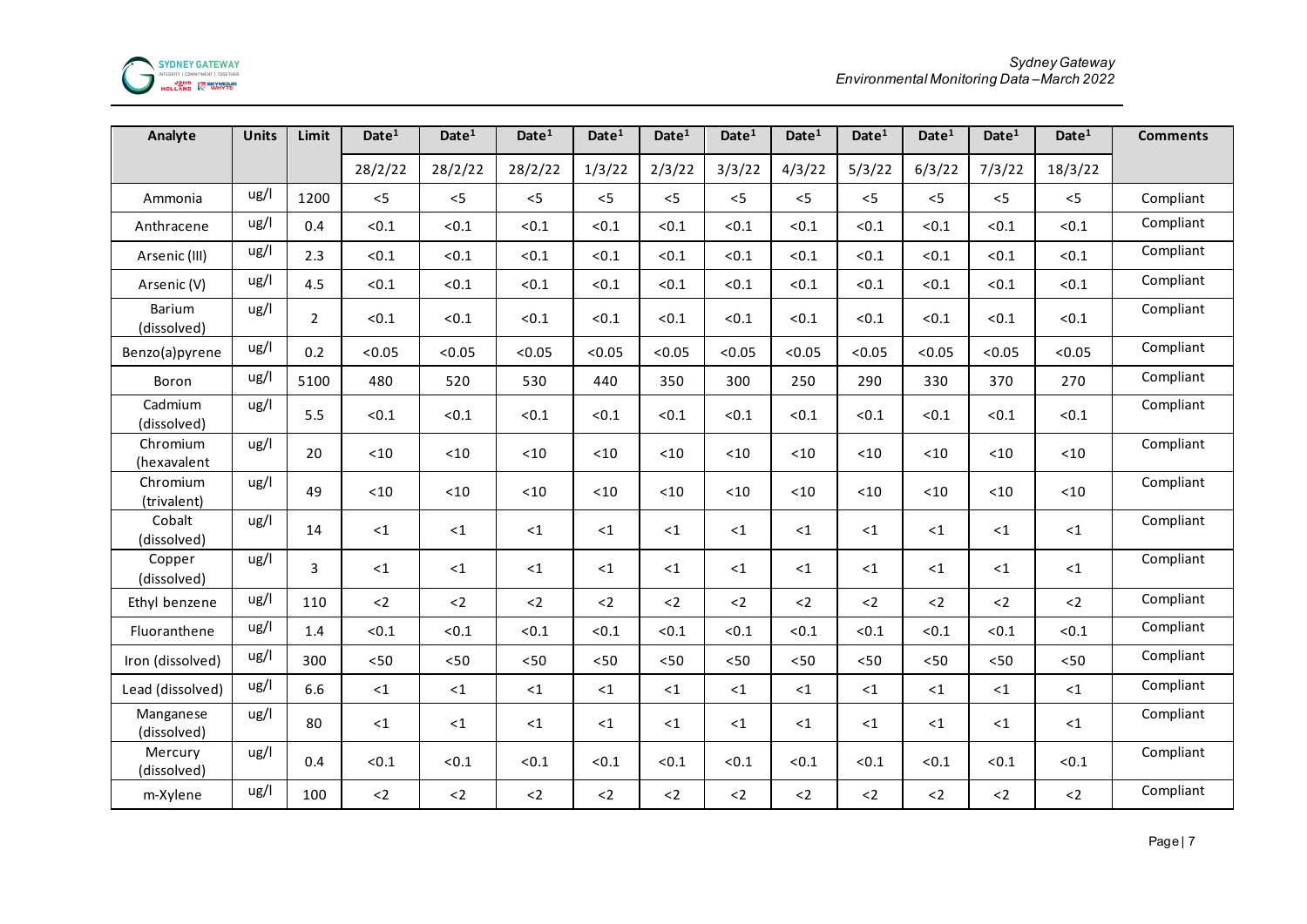

| Analyte                  | Units | Limit          | Date <sup>1</sup> | Date <sup>1</sup> | Date <sup>1</sup>             | Date <sup>1</sup> | Date <sup>1</sup> | Date <sup>1</sup> | Date <sup>1</sup> | Date <sup>1</sup> | Date <sup>1</sup> | Date <sup>1</sup> | Date <sup>1</sup> | <b>Comments</b> |
|--------------------------|-------|----------------|-------------------|-------------------|-------------------------------|-------------------|-------------------|-------------------|-------------------|-------------------|-------------------|-------------------|-------------------|-----------------|
|                          |       |                | 28/2/22           | 28/2/22           | 28/2/22                       | 1/3/22            | 2/3/22            | 3/3/22            | 4/3/22            | 5/3/22            | 6/3/22            | 7/3/22            | 18/3/22           |                 |
| Ammonia                  | ug/l  | 1200           | < 5               | < 5               | < 5                           | < 5               | < 5               | < 5               | < 5               | < 5               | < 5               | $<$ 5             | < 5               | Compliant       |
| Anthracene               | ug/l  | 0.4            | < 0.1             | < 0.1             | < 0.1                         | < 0.1             | < 0.1             | < 0.1             | < 0.1             | < 0.1             | < 0.1             | < 0.1             | < 0.1             | Compliant       |
| Arsenic (III)            | ug/l  | 2.3            | < 0.1             | < 0.1             | < 0.1                         | < 0.1             | < 0.1             | < 0.1             | < 0.1             | < 0.1             | < 0.1             | < 0.1             | &0.1              | Compliant       |
| Arsenic (V)              | ug/l  | 4.5            | < 0.1             | < 0.1             | < 0.1                         | < 0.1             | < 0.1             | < 0.1             | < 0.1             | < 0.1             | < 0.1             | < 0.1             | < 0.1             | Compliant       |
| Barium<br>(dissolved)    | ug/l  | $\overline{2}$ | < 0.1             | < 0.1             | < 0.1                         | < 0.1             | < 0.1             | < 0.1             | < 0.1             | < 0.1             | < 0.1             | < 0.1             | < 0.1             | Compliant       |
| Benzo(a)pyrene           | ug/l  | 0.2            | < 0.05            | < 0.05            | < 0.05                        | < 0.05            | < 0.05            | < 0.05            | < 0.05            | < 0.05            | < 0.05            | < 0.05            | < 0.05            | Compliant       |
| Boron                    | ug/l  | 5100           | 480               | 520               | 530                           | 440               | 350               | 300               | 250               | 290               | 330               | 370               | 270               | Compliant       |
| Cadmium<br>(dissolved)   | ug/l  | 5.5            | < 0.1             | < 0.1             | < 0.1                         | < 0.1             | < 0.1             | < 0.1             | < 0.1             | < 0.1             | < 0.1             | < 0.1             | < 0.1             | Compliant       |
| Chromium<br>(hexavalent  | ug/l  | 20             | $<10$             | < 10              | < 10                          | $<10$             | < 10              | $<10$             | $<10$             | $<10$             | < 10              | $<10$             | < 10              | Compliant       |
| Chromium<br>(trivalent)  | ug/l  | 49             | $<10$             | $<10$             | $<10$                         | $<10$             | $<10$             | $<10$             | $<10$             | $<10$             | $<10$             | $<10$             | $<10$             | Compliant       |
| Cobalt<br>(dissolved)    | ug/l  | 14             | $\leq 1$          | ${<}1$            | ${<}1$                        | $<$ 1             | <1                | ${<}1$            | $\leq 1$          | $<$ 1             | $<$ 1             | $<$ 1             | $<$ 1             | Compliant       |
| Copper<br>(dissolved)    | ug/l  | 3              | ${<}1$            | ${<}1$            | <1                            | <1                | $<$ 1             | $\leq 1$          | ${<}1$            | $<$ 1             | $<$ 1             | ${<}1$            | $<$ 1             | Compliant       |
| Ethyl benzene            | ug/l  | 110            | $2$               | $<2\,$            | $2$                           | $2$               | $<$ 2             | $2$               | $<2\,$            | $2$               | $2$               | $2$               | $2$               | Compliant       |
| Fluoranthene             | ug/l  | 1.4            | < 0.1             | < 0.1             | < 0.1                         | < 0.1             | < 0.1             | < 0.1             | < 0.1             | < 0.1             | < 0.1             | < 0.1             | < 0.1             | Compliant       |
| Iron (dissolved)         | ug/l  | 300            | $50$              | < 50              | $50$                          | < 50              | < 50              | $50$              | $< 50$            | < 50              | < 50              | < 50              | < 50              | Compliant       |
| Lead (dissolved)         | ug/l  | 6.6            | $<$ 1             | ${<}1$            | ${ < \mathrel{{\mathsf{1}}}}$ | ${<}1$            | ${<}1$            | ${<}1$            | ${<}1$            | $\leq 1$          | ${<}1$            | ${<}1$            | ${<}1$            | Compliant       |
| Manganese<br>(dissolved) | ug/l  | 80             | ${ <}1$           | ${<}1$            | ${ < \mathrel{{\mathsf{1}}}}$ | $\leq 1$          | ${<}1$            | ${<}1$            | ${<}1$            | ${<}1$            | $\leq 1$          | ${<}1$            | $\leq 1$          | Compliant       |
| Mercury<br>(dissolved)   | ug/l  | 0.4            | < 0.1             | < 0.1             | < 0.1                         | < 0.1             | < 0.1             | < 0.1             | < 0.1             | < 0.1             | < 0.1             | < 0.1             | < 0.1             | Compliant       |
| m-Xylene                 | ug/l  | 100            | $<2\,$            | $<$ 2 $\,$        | $<2\,$                        | $2$               | $<$ 2             | $2$               | ${<}2$            | $2$               | $2$               | $2$               | $2$               | Compliant       |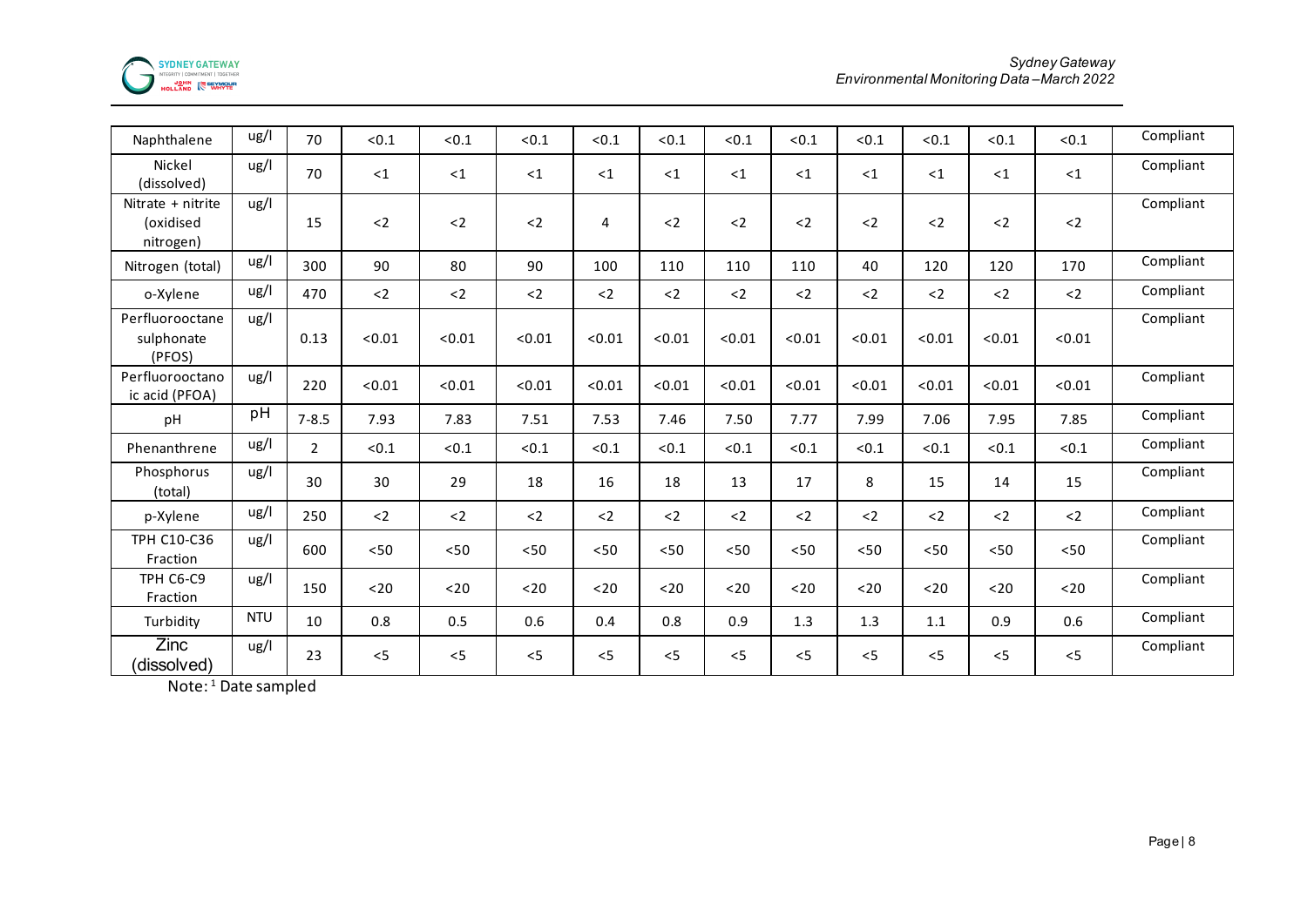

| Naphthalene                                 | ug/l       | 70             | < 0.1  | < 0.1  | < 0.1  | < 0.1  | < 0.1  | < 0.1  | < 0.1  | < 0.1  | < 0.1  | < 0.1  | < 0.1  | Compliant |
|---------------------------------------------|------------|----------------|--------|--------|--------|--------|--------|--------|--------|--------|--------|--------|--------|-----------|
| Nickel<br>(dissolved)                       | ug/l       | 70             | $<$ 1  | <1     | <1     | < 1    | $<$ 1  | <1     | ${<}1$ | $<$ 1  | <1     | <1     | $<$ 1  | Compliant |
| Nitrate + nitrite<br>(oxidised<br>nitrogen) | ug/l       | 15             | $2$    | $2$    | $2$    | 4      | $<2\,$ | $2$    | $2$    | $2$    | $2$    | $2$    | $2$    | Compliant |
| Nitrogen (total)                            | ug/l       | 300            | 90     | 80     | 90     | 100    | 110    | 110    | 110    | 40     | 120    | 120    | 170    | Compliant |
| o-Xylene                                    | ug/l       | 470            | $2$    | $2$    | $2$    | $2$    | $2$    | $2$    | $2$    | $2$    | $2$    | $2$    | $2$    | Compliant |
| Perfluorooctane<br>sulphonate<br>(PFOS)     | ug/l       | 0.13           | < 0.01 | < 0.01 | < 0.01 | < 0.01 | < 0.01 | < 0.01 | < 0.01 | < 0.01 | < 0.01 | < 0.01 | < 0.01 | Compliant |
| Perfluorooctano<br>ic acid (PFOA)           | ug/l       | 220            | < 0.01 | < 0.01 | < 0.01 | < 0.01 | < 0.01 | < 0.01 | < 0.01 | < 0.01 | < 0.01 | < 0.01 | < 0.01 | Compliant |
| pH                                          | pH         | $7 - 8.5$      | 7.93   | 7.83   | 7.51   | 7.53   | 7.46   | 7.50   | 7.77   | 7.99   | 7.06   | 7.95   | 7.85   | Compliant |
| Phenanthrene                                | ug/l       | $\overline{2}$ | < 0.1  | < 0.1  | < 0.1  | < 0.1  | < 0.1  | < 0.1  | < 0.1  | < 0.1  | < 0.1  | < 0.1  | < 0.1  | Compliant |
| Phosphorus<br>(total)                       | ug/l       | 30             | 30     | 29     | 18     | 16     | 18     | 13     | 17     | 8      | 15     | 14     | 15     | Compliant |
| p-Xylene                                    | ug/l       | 250            | $2$    | $2$    | $2$    | $2$    | $2$    | $2$    | $2$    | $2$    | $2$    | $2$    | $2$    | Compliant |
| <b>TPH C10-C36</b><br>Fraction              | ug/l       | 600            | < 50   | < 50   | < 50   | < 50   | < 50   | < 50   | < 50   | < 50   | < 50   | < 50   | < 50   | Compliant |
| TPH C6-C9<br>Fraction                       | ug/l       | 150            | $20$   | $20$   | $20$   | $20$   | $20$   | $20$   | $20$   | $20$   | $20$   | $20$   | $20$   | Compliant |
| Turbidity                                   | <b>NTU</b> | 10             | 0.8    | 0.5    | 0.6    | 0.4    | 0.8    | 0.9    | 1.3    | 1.3    | 1.1    | 0.9    | 0.6    | Compliant |
| Zinc<br>(dissolved)                         | ug/l       | 23             | $<$ 5  | < 5    | < 5    | < 5    | < 5    | $<$ 5  | < 5    | $<$ 5  | < 5    | $<$ 5  | $<$ 5  | Compliant |

Note:<sup>1</sup> Date sampled